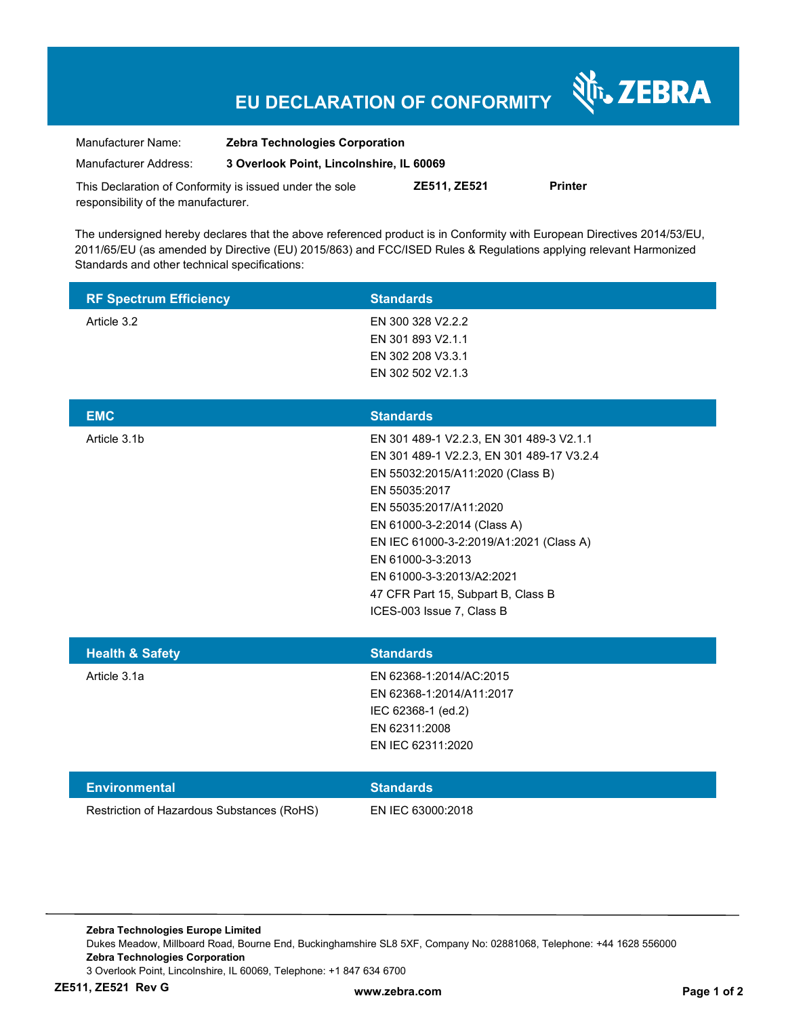## **EU DECLARATION OF CONFORMITY**

श्री<sub>1</sub>, ZEBRA

| Manufacturer Name:                                      | <b>Zebra Technologies Corporation</b>    |                     |                |
|---------------------------------------------------------|------------------------------------------|---------------------|----------------|
| Manufacturer Address:                                   | 3 Overlook Point, Lincolnshire, IL 60069 |                     |                |
| This Declaration of Conformity is issued under the sole |                                          | <b>ZE511, ZE521</b> | <b>Printer</b> |

responsibility of the manufacturer.

The undersigned hereby declares that the above referenced product is in Conformity with European Directives 2014/53/EU, 2011/65/EU (as amended by Directive (EU) 2015/863) and FCC/ISED Rules & Regulations applying relevant Harmonized Standards and other technical specifications:

| <b>RF Spectrum Efficiency</b>              | <b>Standards</b>                                                                                                                                                                                                                                                                                                                                                    |
|--------------------------------------------|---------------------------------------------------------------------------------------------------------------------------------------------------------------------------------------------------------------------------------------------------------------------------------------------------------------------------------------------------------------------|
| Article 3.2                                | EN 300 328 V2.2.2<br>EN 301 893 V2.1.1<br>EN 302 208 V3.3.1<br>EN 302 502 V2.1.3                                                                                                                                                                                                                                                                                    |
| <b>EMC</b>                                 | <b>Standards</b>                                                                                                                                                                                                                                                                                                                                                    |
| Article 3.1b                               | EN 301 489-1 V2.2.3, EN 301 489-3 V2.1.1<br>EN 301 489-1 V2.2.3, EN 301 489-17 V3.2.4<br>EN 55032:2015/A11:2020 (Class B)<br>EN 55035:2017<br>EN 55035:2017/A11:2020<br>EN 61000-3-2:2014 (Class A)<br>EN IEC 61000-3-2:2019/A1:2021 (Class A)<br>EN 61000-3-3:2013<br>EN 61000-3-3:2013/A2:2021<br>47 CFR Part 15, Subpart B, Class B<br>ICES-003 Issue 7, Class B |
| <b>Health &amp; Safety</b>                 | <b>Standards</b>                                                                                                                                                                                                                                                                                                                                                    |
| Article 3.1a                               | EN 62368-1:2014/AC:2015<br>EN 62368-1:2014/A11:2017<br>IEC 62368-1 (ed.2)<br>EN 62311:2008<br>EN IEC 62311:2020                                                                                                                                                                                                                                                     |
| <b>Environmental</b>                       | <b>Standards</b>                                                                                                                                                                                                                                                                                                                                                    |
| Restriction of Hazardous Substances (RoHS) | EN IEC 63000:2018                                                                                                                                                                                                                                                                                                                                                   |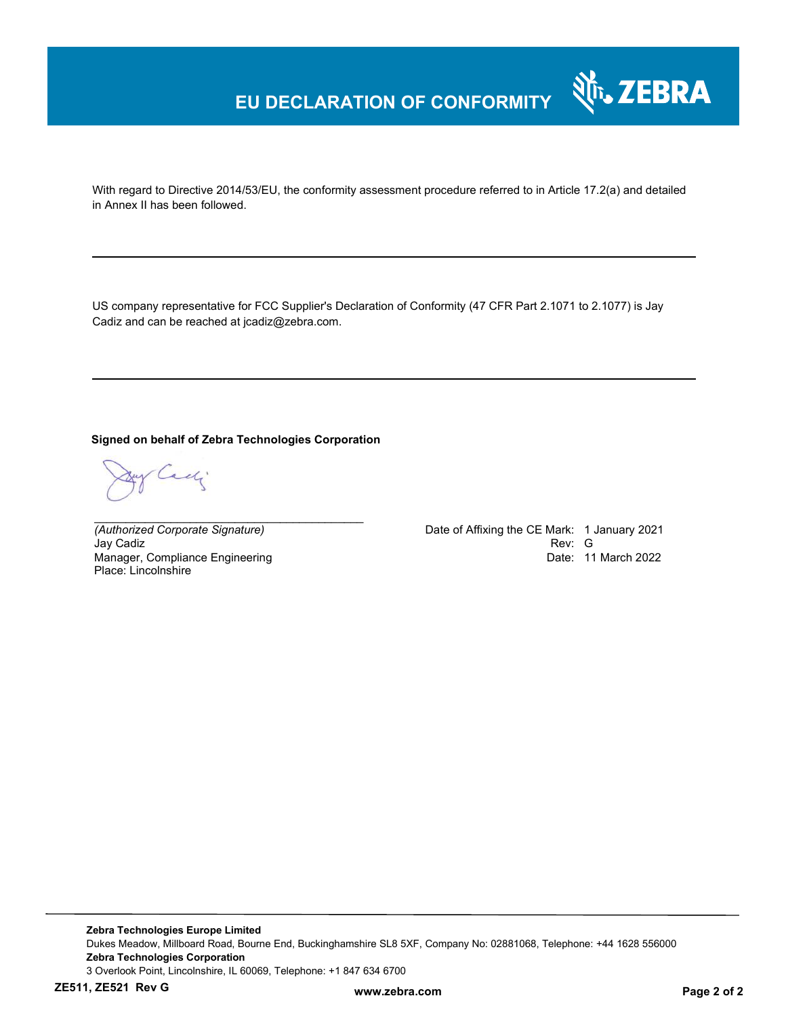## **EU DECLARATION OF CONFORMITY**

With regard to Directive 2014/53/EU, the conformity assessment procedure referred to in Article 17.2(a) and detailed in Annex II has been followed.

US company representative for FCC Supplier's Declaration of Conformity (47 CFR Part 2.1071 to 2.1077) is Jay Cadiz and can be reached at jcadiz@zebra.com.

**Signed on behalf of Zebra Technologies Corporation** 

*\_\_\_\_\_\_\_\_\_\_\_\_\_\_\_\_\_\_\_\_\_\_\_\_\_\_\_\_\_\_\_\_\_\_\_\_\_\_\_\_\_\_*

adj

Jay Cadiz Manager, Compliance Engineering Place: Lincolnshire

*(Authorized Corporate Signature)* Date of Affixing the CE Mark: 1 January 2021 Date: 11 March 2022

र्शे<sub>ं</sub> ZEBRA